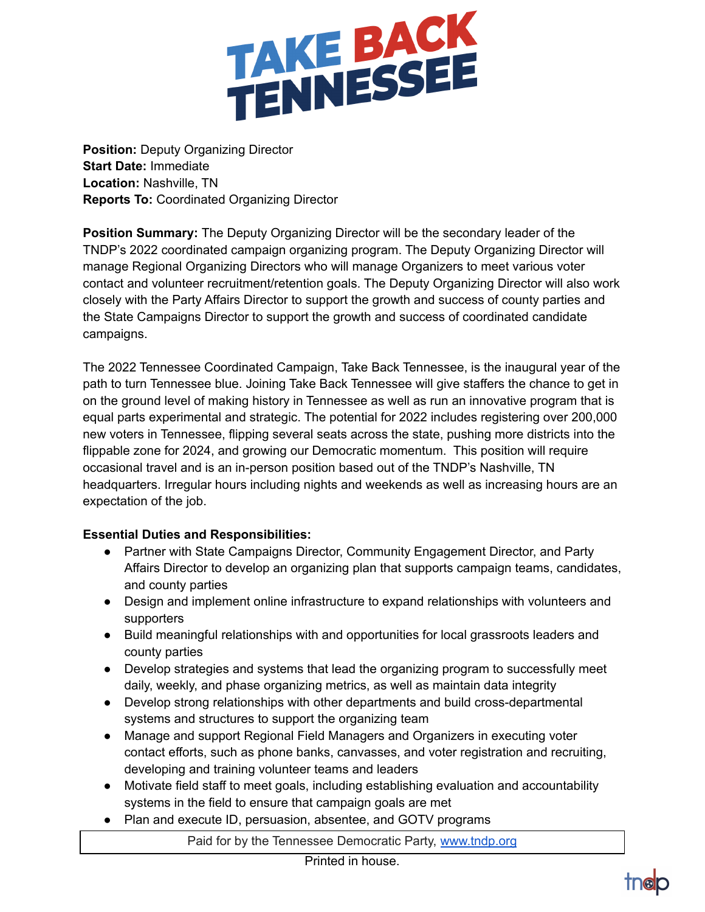

**Position:** Deputy Organizing Director **Start Date:** Immediate **Location:** Nashville, TN **Reports To:** Coordinated Organizing Director

**Position Summary:** The Deputy Organizing Director will be the secondary leader of the TNDP's 2022 coordinated campaign organizing program. The Deputy Organizing Director will manage Regional Organizing Directors who will manage Organizers to meet various voter contact and volunteer recruitment/retention goals. The Deputy Organizing Director will also work closely with the Party Affairs Director to support the growth and success of county parties and the State Campaigns Director to support the growth and success of coordinated candidate campaigns.

The 2022 Tennessee Coordinated Campaign, Take Back Tennessee, is the inaugural year of the path to turn Tennessee blue. Joining Take Back Tennessee will give staffers the chance to get in on the ground level of making history in Tennessee as well as run an innovative program that is equal parts experimental and strategic. The potential for 2022 includes registering over 200,000 new voters in Tennessee, flipping several seats across the state, pushing more districts into the flippable zone for 2024, and growing our Democratic momentum. This position will require occasional travel and is an in-person position based out of the TNDP's Nashville, TN headquarters. Irregular hours including nights and weekends as well as increasing hours are an expectation of the job.

## **Essential Duties and Responsibilities:**

- Partner with State Campaigns Director, Community Engagement Director, and Party Affairs Director to develop an organizing plan that supports campaign teams, candidates, and county parties
- Design and implement online infrastructure to expand relationships with volunteers and supporters
- Build meaningful relationships with and opportunities for local grassroots leaders and county parties
- Develop strategies and systems that lead the organizing program to successfully meet daily, weekly, and phase organizing metrics, as well as maintain data integrity
- Develop strong relationships with other departments and build cross-departmental systems and structures to support the organizing team
- Manage and support Regional Field Managers and Organizers in executing voter contact efforts, such as phone banks, canvasses, and voter registration and recruiting, developing and training volunteer teams and leaders
- Motivate field staff to meet goals, including establishing evaluation and accountability systems in the field to ensure that campaign goals are met
- Plan and execute ID, persuasion, absentee, and GOTV programs

Paid for by the Tennessee Democratic Party, [www.tndp.org](http://www.tndp.org/)

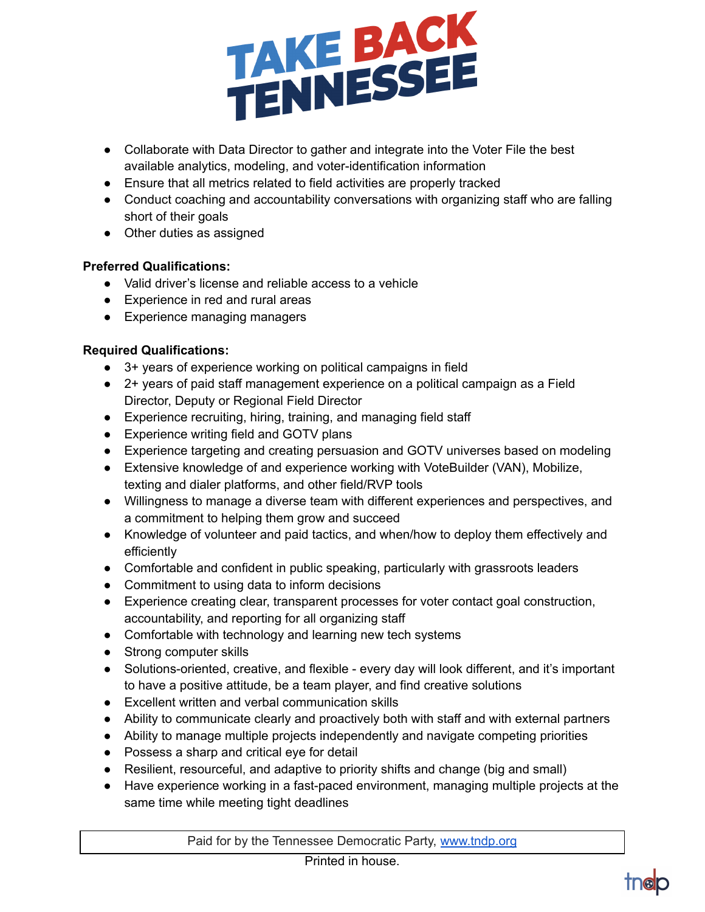

- Collaborate with Data Director to gather and integrate into the Voter File the best available analytics, modeling, and voter-identification information
- Ensure that all metrics related to field activities are properly tracked
- Conduct coaching and accountability conversations with organizing staff who are falling short of their goals
- Other duties as assigned

## **Preferred Qualifications:**

- Valid driver's license and reliable access to a vehicle
- Experience in red and rural areas
- Experience managing managers

## **Required Qualifications:**

- 3+ years of experience working on political campaigns in field
- 2+ years of paid staff management experience on a political campaign as a Field Director, Deputy or Regional Field Director
- Experience recruiting, hiring, training, and managing field staff
- Experience writing field and GOTV plans
- Experience targeting and creating persuasion and GOTV universes based on modeling
- Extensive knowledge of and experience working with VoteBuilder (VAN), Mobilize, texting and dialer platforms, and other field/RVP tools
- Willingness to manage a diverse team with different experiences and perspectives, and a commitment to helping them grow and succeed
- Knowledge of volunteer and paid tactics, and when/how to deploy them effectively and efficiently
- Comfortable and confident in public speaking, particularly with grassroots leaders
- Commitment to using data to inform decisions
- Experience creating clear, transparent processes for voter contact goal construction, accountability, and reporting for all organizing staff
- Comfortable with technology and learning new tech systems
- Strong computer skills
- Solutions-oriented, creative, and flexible every day will look different, and it's important to have a positive attitude, be a team player, and find creative solutions
- Excellent written and verbal communication skills
- Ability to communicate clearly and proactively both with staff and with external partners
- Ability to manage multiple projects independently and navigate competing priorities
- Possess a sharp and critical eye for detail
- Resilient, resourceful, and adaptive to priority shifts and change (big and small)
- Have experience working in a fast-paced environment, managing multiple projects at the same time while meeting tight deadlines

Paid for by the Tennessee Democratic Party, [www.tndp.org](http://www.tndp.org/)